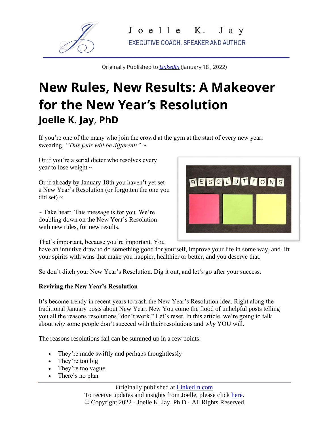

Originally Published to *[LinkedIn](https://www.linkedin.com/pulse/new-rules-results-makeover-years-resolution-/?trackingId=urQe1D2H%2F05lPDccZMNPKQ%3D%3D)* (January 18 , 2022)

## **New Rules, New Results: A Makeover for the New Year's Resolution Joelle K. Jay**, **PhD**

If you're one of the many who join the crowd at the gym at the start of every new year, swearing, *"This year will be different!"* ~

Or if you're a serial dieter who resolves every year to lose weight ~

Or if already by January 18th you haven't yet set a New Year's Resolution (or forgotten the one you  $\text{did}$  set) ~

 $\sim$  Take heart. This message is for you. We're doubling down on the New Year's Resolution with new rules, for new results.



That's important, because you're important. You

have an intuitive draw to do something good for yourself, improve your life in some way, and lift your spirits with wins that make you happier, healthier or better, and you deserve that.

So don't ditch your New Year's Resolution. Dig it out, and let's go after your success.

## **Reviving the New Year's Resolution**

It's become trendy in recent years to trash the New Year's Resolution idea. Right along the traditional January posts about New Year, New You come the flood of unhelpful posts telling you all the reasons resolutions "don't work." Let's reset. In this article, we're going to talk about *why* some people don't succeed with their resolutions and *why* YOU will.

The reasons resolutions fail can be summed up in a few points:

- They're made swiftly and perhaps thoughtlessly
- They're too big
- They're too vague
- There's no plan

Originally published at [LinkedIn.com](https://www.linkedin.com/pulse/new-rules-results-makeover-years-resolution-/?trackingId=urQe1D2H%2F05lPDccZMNPKQ%3D%3D) To receive updates and insights from Joelle, please click [here.](https://www.joellekjay.com/words/) © Copyright 2022 · Joelle K. Jay, Ph.D · All Rights Reserved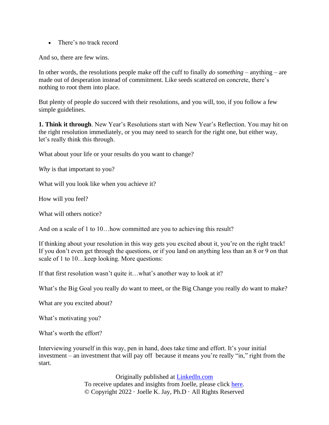• There's no track record

And so, there are few wins.

In other words, the resolutions people make off the cuff to finally *do something –* anything – are made out of desperation instead of commitment. Like seeds scattered on concrete, there's nothing to root them into place.

But plenty of people *do* succeed with their resolutions, and you will, too, if you follow a few simple guidelines.

**1. Think it through**. New Year's Resolutions start with New Year's Reflection. You may hit on the right resolution immediately, or you may need to search for the right one, but either way, let's really think this through.

What about your life or your results do you want to change?

*Why* is that important to you?

What will you look like when you achieve it?

How will you feel?

What will others notice?

And on a scale of 1 to 10... how committed are you to achieving this result?

If thinking about your resolution in this way gets you excited about it, you're on the right track! If you don't even get through the questions, or if you land on anything less than an 8 or 9 on that scale of 1 to 10…keep looking. More questions:

If that first resolution wasn't quite it…what's another way to look at it?

What's the Big Goal you really *do* want to meet, or the Big Change you really *do* want to make?

What are you excited about?

What's motivating you?

What's worth the effort?

Interviewing yourself in this way, pen in hand, does take time and effort. It's your initial investment – an investment that will pay off because it means you're really "in," right from the start.

> Originally published at [LinkedIn.com](https://www.linkedin.com/pulse/new-rules-results-makeover-years-resolution-/?trackingId=urQe1D2H%2F05lPDccZMNPKQ%3D%3D) To receive updates and insights from Joelle, please click [here.](https://www.joellekjay.com/words/) © Copyright 2022 · Joelle K. Jay, Ph.D · All Rights Reserved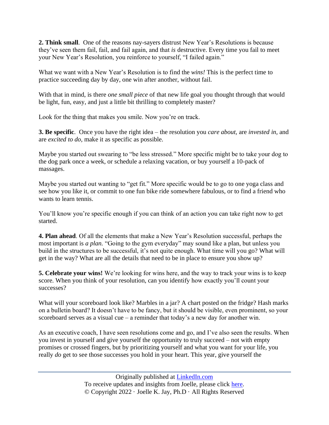**2. Think small**. One of the reasons nay-sayers distrust New Year's Resolutions is because they've seen them fail, fail, and fail again, and that *is* destructive. Every time you fail to meet your New Year's Resolution, you reinforce to yourself, "I failed again."

What we want with a New Year's Resolution is to find the *wins!* This is the perfect time to practice succeeding day by day, one win after another, without fail.

With that in mind, is there *one small piece* of that new life goal you thought through that would be light, fun, easy, and just a little bit thrilling to completely master?

Look for the thing that makes you smile. Now you're on track.

**3. Be specific**. Once you have the right idea – the resolution you *care about,* are *invested in,* and are *excited to do,* make it as specific as possible.

Maybe you started out swearing to "be less stressed." More specific might be to take your dog to the dog park once a week, or schedule a relaxing vacation, or buy yourself a 10-pack of massages.

Maybe you started out wanting to "get fit." More specific would be to go to one yoga class and see how you like it, or commit to one fun bike ride somewhere fabulous, or to find a friend who wants to learn tennis.

You'll know you're specific enough if you can think of an action you can take right now to get started.

**4. Plan ahead**. Of all the elements that make a New Year's Resolution successful, perhaps the most important is *a plan.* "Going to the gym everyday" may sound like a plan, but unless you build in the structures to be successful, it's not quite enough. What time will you go? What will get in the way? What are all the details that need to be in place to ensure you show up?

**5. Celebrate your wins!** We're looking for wins here, and the way to track your wins is to keep score. When you think of your resolution, can you identify how exactly you'll count your successes?

What will your scoreboard look like? Marbles in a jar? A chart posted on the fridge? Hash marks on a bulletin board? It doesn't have to be fancy, but it should be visible, even prominent, so your scoreboard serves as a visual cue – a reminder that today's a new day for another win.

As an executive coach, I have seen resolutions come and go, and I've also seen the results. When you invest in yourself and give yourself the opportunity to truly succeed – not with empty promises or crossed fingers, but by prioritizing yourself and what you want for your life, you really *do* get to see those successes you hold in your heart. This year, give yourself the